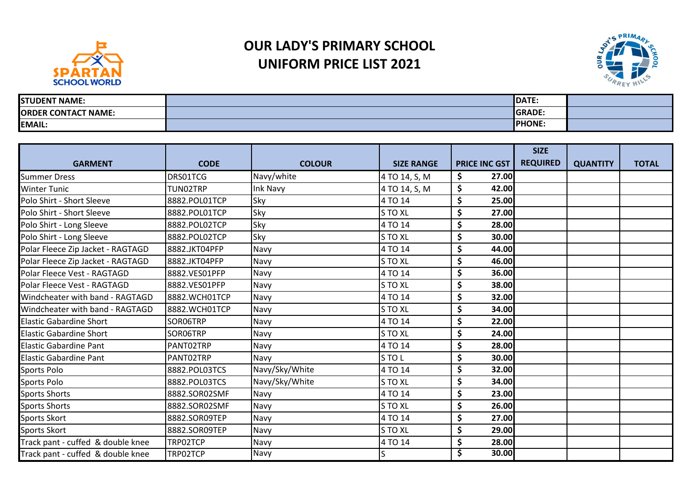

## **OUR LADY'S PRIMARY SCHOOL UNIFORM PRICE LIST 2021**



| <b>STUDENT NAME:</b>       | DATE:          |  |
|----------------------------|----------------|--|
| <b>ORDER CONTACT NAME:</b> | <b>GRADE:</b>  |  |
| <b>EMAIL:</b>              | <b>IPHONE.</b> |  |

|                                   |               |                |                   |                      | <b>SIZE</b>     |                 |              |
|-----------------------------------|---------------|----------------|-------------------|----------------------|-----------------|-----------------|--------------|
| <b>GARMENT</b>                    | <b>CODE</b>   | <b>COLOUR</b>  | <b>SIZE RANGE</b> | <b>PRICE INC GST</b> | <b>REQUIRED</b> | <b>QUANTITY</b> | <b>TOTAL</b> |
| <b>Summer Dress</b>               | DRS01TCG      | Navy/white     | 4 TO 14, S, M     | \$<br>27.00          |                 |                 |              |
| <b>Winter Tunic</b>               | TUN02TRP      | Ink Navy       | 4 TO 14, S, M     | \$<br>42.00          |                 |                 |              |
| Polo Shirt - Short Sleeve         | 8882.POL01TCP | Sky            | 4 TO 14           | \$<br>25.00          |                 |                 |              |
| Polo Shirt - Short Sleeve         | 8882.POL01TCP | Sky            | S TO XL           | \$<br>27.00          |                 |                 |              |
| Polo Shirt - Long Sleeve          | 8882.POL02TCP | Sky            | 4 TO 14           | \$<br>28.00          |                 |                 |              |
| Polo Shirt - Long Sleeve          | 8882.POL02TCP | Sky            | <b>STOXL</b>      | \$<br>30.00          |                 |                 |              |
| Polar Fleece Zip Jacket - RAGTAGD | 8882.JKT04PFP | Navy           | 4 TO 14           | \$<br>44.00          |                 |                 |              |
| Polar Fleece Zip Jacket - RAGTAGD | 8882.JKT04PFP | Navy           | <b>STOXL</b>      | \$<br>46.00          |                 |                 |              |
| Polar Fleece Vest - RAGTAGD       | 8882.VES01PFP | Navy           | 4 TO 14           | \$<br>36.00          |                 |                 |              |
| Polar Fleece Vest - RAGTAGD       | 8882.VES01PFP | Navy           | <b>STOXL</b>      | \$<br>38.00          |                 |                 |              |
| Windcheater with band - RAGTAGD   | 8882.WCH01TCP | Navy           | 4 TO 14           | \$<br>32.00          |                 |                 |              |
| Windcheater with band - RAGTAGD   | 8882.WCH01TCP | Navy           | S TO XL           | \$<br>34.00          |                 |                 |              |
| <b>Elastic Gabardine Short</b>    | SOR06TRP      | Navy           | 4 TO 14           | \$<br>22.00          |                 |                 |              |
| <b>Elastic Gabardine Short</b>    | SOR06TRP      | Navy           | <b>STOXL</b>      | \$<br>24.00          |                 |                 |              |
| <b>Elastic Gabardine Pant</b>     | PANT02TRP     | Navy           | 4 TO 14           | \$<br>28.00          |                 |                 |              |
| <b>Elastic Gabardine Pant</b>     | PANT02TRP     | Navy           | S TO L            | \$<br>30.00          |                 |                 |              |
| Sports Polo                       | 8882.POL03TCS | Navy/Sky/White | 4 TO 14           | \$<br>32.00          |                 |                 |              |
| Sports Polo                       | 8882.POL03TCS | Navy/Sky/White | <b>STOXL</b>      | \$<br>34.00          |                 |                 |              |
| <b>Sports Shorts</b>              | 8882.SOR02SMF | Navy           | 4 TO 14           | \$<br>23.00          |                 |                 |              |
| <b>Sports Shorts</b>              | 8882.SOR02SMF | Navy           | S TO XL           | \$<br>26.00          |                 |                 |              |
| <b>Sports Skort</b>               | 8882.SOR09TEP | Navy           | 4 TO 14           | \$<br>27.00          |                 |                 |              |
| Sports Skort                      | 8882.SOR09TEP | Navy           | S TO XL           | \$<br>29.00          |                 |                 |              |
| Track pant - cuffed & double knee | TRP02TCP      | Navy           | 4 TO 14           | \$<br>28.00          |                 |                 |              |
| Track pant - cuffed & double knee | TRP02TCP      | Navy           |                   | \$<br>30.00          |                 |                 |              |